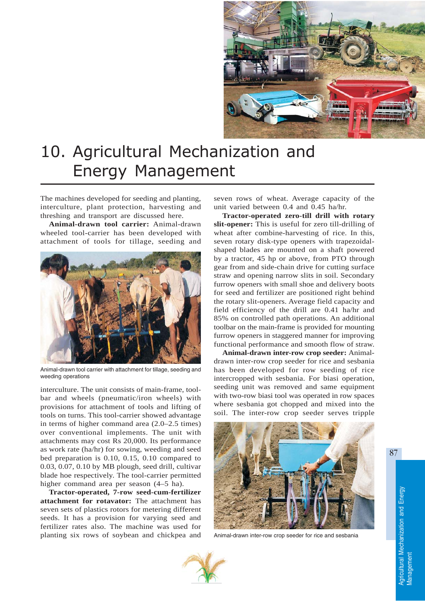

## 10. Agricultural Mechanization and Energy Management

The machines developed for seeding and planting, interculture, plant protection, harvesting and threshing and transport are discussed here.

**Animal-drawn tool carrier:** Animal-drawn wheeled tool-carrier has been developed with attachment of tools for tillage, seeding and



Animal-drawn tool carrier with attachment for tillage, seeding and weeding operations

interculture. The unit consists of main-frame, toolbar and wheels (pneumatic/iron wheels) with provisions for attachment of tools and lifting of tools on turns. This tool-carrier showed advantage in terms of higher command area (2.0–2.5 times) over conventional implements. The unit with attachments may cost Rs 20,000. Its performance as work rate (ha/hr) for sowing, weeding and seed bed preparation is 0.10, 0.15, 0.10 compared to 0.03, 0.07, 0.10 by MB plough, seed drill, cultivar blade hoe respectively. The tool-carrier permitted higher command area per season (4–5 ha).

**Tractor-operated, 7-row seed-cum-fertilizer attachment for rotavator:** The attachment has seven sets of plastics rotors for metering different seeds. It has a provision for varying seed and fertilizer rates also. The machine was used for planting six rows of soybean and chickpea and seven rows of wheat. Average capacity of the unit varied between 0.4 and 0.45 ha/hr.

**Tractor-operated zero-till drill with rotary slit-opener:** This is useful for zero till-drilling of wheat after combine-harvesting of rice. In this, seven rotary disk-type openers with trapezoidalshaped blades are mounted on a shaft powered by a tractor, 45 hp or above, from PTO through gear from and side-chain drive for cutting surface straw and opening narrow slits in soil. Secondary furrow openers with small shoe and delivery boots for seed and fertilizer are positioned right behind the rotary slit-openers. Average field capacity and field efficiency of the drill are 0.41 ha/hr and 85% on controlled path operations. An additional toolbar on the main-frame is provided for mounting furrow openers in staggered manner for improving functional performance and smooth flow of straw.

**Animal-drawn inter-row crop seeder:** Animaldrawn inter-row crop seeder for rice and sesbania has been developed for row seeding of rice intercropped with sesbania. For biasi operation, seeding unit was removed and same equipment with two-row biasi tool was operated in row spaces where sesbania got chopped and mixed into the soil. The inter-row crop seeder serves tripple



Animal-drawn inter-row crop seeder for rice and sesbania

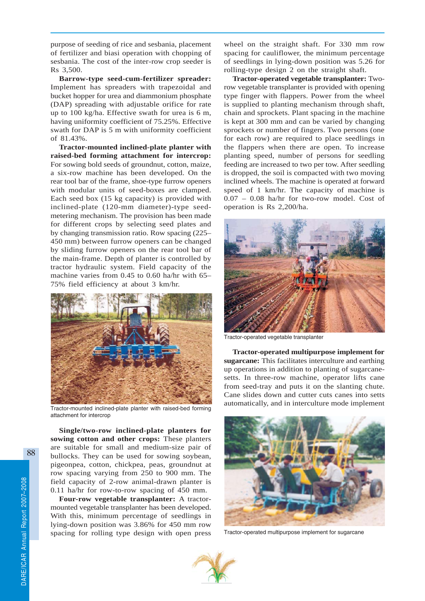purpose of seeding of rice and sesbania, placement of fertilizer and biasi operation with chopping of sesbania. The cost of the inter-row crop seeder is Rs 3,500.

**Barrow-type seed-cum-fertilizer spreader:** Implement has spreaders with trapezoidal and bucket hopper for urea and diammonium phosphate (DAP) spreading with adjustable orifice for rate up to 100 kg/ha. Effective swath for urea is 6 m, having uniformity coefficient of 75.25%. Effective swath for DAP is 5 m with uniformity coefficient of 81.43%.

**Tractor-mounted inclined-plate planter with raised-bed forming attachment for intercrop:** For sowing bold seeds of groundnut, cotton, maize, a six-row machine has been developed. On the rear tool bar of the frame, shoe-type furrow openers with modular units of seed-boxes are clamped. Each seed box (15 kg capacity) is provided with inclined-plate (120-mm diameter)-type seedmetering mechanism. The provision has been made for different crops by selecting seed plates and by changing transmission ratio. Row spacing (225– 450 mm) between furrow openers can be changed by sliding furrow openers on the rear tool bar of the main-frame. Depth of planter is controlled by tractor hydraulic system. Field capacity of the machine varies from 0.45 to 0.60 ha/hr with 65– 75% field efficiency at about 3 km/hr.



Tractor-mounted inclined-plate planter with raised-bed forming attachment for intercrop

**Single/two-row inclined-plate planters for sowing cotton and other crops:** These planters are suitable for small and medium-size pair of bullocks. They can be used for sowing soybean, pigeonpea, cotton, chickpea, peas, groundnut at row spacing varying from 250 to 900 mm. The field capacity of 2-row animal-drawn planter is 0.11 ha/hr for row-to-row spacing of 450 mm.

**Four-row vegetable transplanter:** A tractormounted vegetable transplanter has been developed. With this, minimum percentage of seedlings in lying-down position was 3.86% for 450 mm row spacing for rolling type design with open press wheel on the straight shaft. For 330 mm row spacing for cauliflower, the minimum percentage of seedlings in lying-down position was 5.26 for rolling-type design 2 on the straight shaft.

**Tractor-operated vegetable transplanter:** Tworow vegetable transplanter is provided with opening type finger with flappers. Power from the wheel is supplied to planting mechanism through shaft, chain and sprockets. Plant spacing in the machine is kept at 300 mm and can be varied by changing sprockets or number of fingers. Two persons (one for each row) are required to place seedlings in the flappers when there are open. To increase planting speed, number of persons for seedling feeding are increased to two per tow. After seedling is dropped, the soil is compacted with two moving inclined wheels. The machine is operated at forward speed of 1 km/hr. The capacity of machine is 0.07 – 0.08 ha/hr for two-row model. Cost of operation is Rs 2,200/ha.



Tractor-operated vegetable transplanter

**Tractor-operated multipurpose implement for sugarcane:** This facilitates interculture and earthing up operations in addition to planting of sugarcanesetts. In three-row machine, operator lifts cane from seed-tray and puts it on the slanting chute. Cane slides down and cutter cuts canes into setts automatically, and in interculture mode implement



Tractor-operated multipurpose implement for sugarcane

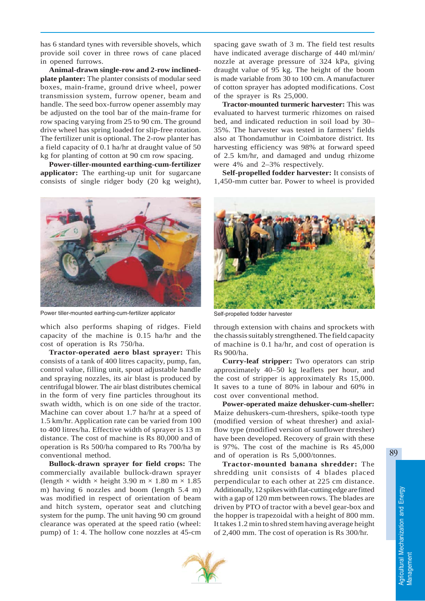has 6 standard tynes with reversible shovels, which provide soil cover in three rows of cane placed in opened furrows.

**Animal-drawn single-row and 2-row inclinedplate planter:** The planter consists of modular seed boxes, main-frame, ground drive wheel, power transmission system, furrow opener, beam and handle. The seed box-furrow opener assembly may be adjusted on the tool bar of the main-frame for row spacing varying from 25 to 90 cm. The ground drive wheel has spring loaded for slip-free rotation. The fertilizer unit is optional. The 2-row planter has a field capacity of 0.1 ha/hr at draught value of 50 kg for planting of cotton at 90 cm row spacing.

**Power-tiller-mounted earthing-cum-fertilizer applicator:** The earthing-up unit for sugarcane consists of single ridger body (20 kg weight),



Power tiller-mounted earthing-cum-fertilizer applicator

which also performs shaping of ridges. Field capacity of the machine is 0.15 ha/hr and the cost of operation is Rs 750/ha.

**Tractor-operated aero blast sprayer:** This consists of a tank of 400 litres capacity, pump, fan, control value, filling unit, spout adjustable handle and spraying nozzles, its air blast is produced by centrifugal blower. The air blast distributes chemical in the form of very fine particles throughout its swath width, which is on one side of the tractor. Machine can cover about 1.7 ha/hr at a speed of 1.5 km/hr. Application rate can be varied from 100 to 400 litres/ha. Effective width of sprayer is 13 m distance. The cost of machine is Rs 80,000 and of operation is Rs 500/ha compared to Rs 700/ha by conventional method.

**Bullock-drawn sprayer for field crops:** The commercially available bullock-drawn sprayer (length  $\times$  width  $\times$  height 3.90 m  $\times$  1.80 m  $\times$  1.85 m) having 6 nozzles and boom (length 5.4 m) was modified in respect of orientation of beam and hitch system, operator seat and clutching system for the pump. The unit having 90 cm ground clearance was operated at the speed ratio (wheel: pump) of 1: 4. The hollow cone nozzles at 45-cm

spacing gave swath of 3 m. The field test results have indicated average discharge of 440 ml/min/ nozzle at average pressure of 324 kPa, giving draught value of 95 kg. The height of the boom is made variable from 30 to 100 cm. A manufacturer of cotton sprayer has adopted modifications. Cost of the sprayer is Rs 25,000.

**Tractor-mounted turmeric harvester:** This was evaluated to harvest turmeric rhizomes on raised bed, and indicated reduction in soil load by 30– 35%. The harvester was tested in farmers' fields also at Thondamuthur in Coimbatore district. Its harvesting efficiency was 98% at forward speed of 2.5 km/hr, and damaged and undug rhizome were 4% and 2–3% respectively.

**Self-propelled fodder harvester:** It consists of 1,450-mm cutter bar. Power to wheel is provided



Self-propelled fodder harvester

through extension with chains and sprockets with the chassis suitably strengthened. The field capacity of machine is 0.1 ha/hr, and cost of operation is Rs 900/ha.

**Curry-leaf stripper:** Two operators can strip approximately 40–50 kg leaflets per hour, and the cost of stripper is approximately Rs 15,000. It saves to a tune of 80% in labour and 60% in cost over conventional method.

**Power-operated maize dehusker-cum-sheller:** Maize dehuskers-cum-threshers, spike-tooth type (modified version of wheat thresher) and axialflow type (modified version of sunflower thresher) have been developed. Recovery of grain with these is 97%. The cost of the machine is Rs 45,000 and of operation is Rs 5,000/tonnes.

**Tractor-mounted banana shredder:** The shredding unit consists of 4 blades placed perpendicular to each other at 225 cm distance. Additionally, 12 spikes with flat-cutting edge are fitted with a gap of 120 mm between rows. The blades are driven by PTO of tractor with a bevel gear-box and the hopper is trapezoidal with a height of 800 mm. It takes 1.2 min to shred stem having average height of 2,400 mm. The cost of operation is Rs 300/hr.

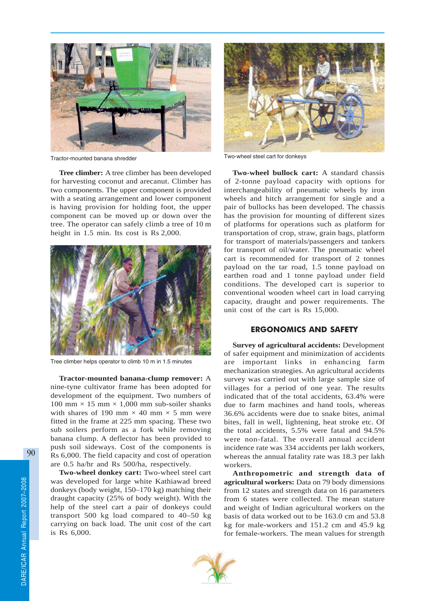

Tractor-mounted banana shredder Two-wheel steel cart for donkeys

**Tree climber:** A tree climber has been developed for harvesting coconut and arecanut. Climber has two components. The upper component is provided with a seating arrangement and lower component is having provision for holding foot, the upper component can be moved up or down over the tree. The operator can safely climb a tree of 10 m height in 1.5 min. Its cost is Rs 2,000.



Tree climber helps operator to climb 10 m in 1.5 minutes

**Tractor-mounted banana-clump remover:** A nine-tyne cultivator frame has been adopted for development of the equipment. Two numbers of 100 mm  $\times$  15 mm  $\times$  1,000 mm sub-soiler shanks with shares of 190 mm  $\times$  40 mm  $\times$  5 mm were fitted in the frame at 225 mm spacing. These two sub soilers perform as a fork while removing banana clump. A deflector has been provided to push soil sideways. Cost of the components is Rs 6,000. The field capacity and cost of operation are 0.5 ha/hr and Rs 500/ha, respectively.

**Two-wheel donkey cart:** Two-wheel steel cart was developed for large white Kathiawad breed donkeys (body weight, 150–170 kg) matching their draught capacity (25% of body weight). With the help of the steel cart a pair of donkeys could transport 500 kg load compared to 40–50 kg carrying on back load. The unit cost of the cart is Rs 6,000.



**Two-wheel bullock cart:** A standard chassis of 2-tonne payload capacity with options for interchangeability of pneumatic wheels by iron wheels and hitch arrangement for single and a pair of bullocks has been developed. The chassis has the provision for mounting of different sizes of platforms for operations such as platform for transportation of crop, straw, grain bags, platform for transport of materials/passengers and tankers for transport of oil/water. The pneumatic wheel cart is recommended for transport of 2 tonnes payload on the tar road, 1.5 tonne payload on earthen road and 1 tonne payload under field conditions. The developed cart is superior to conventional wooden wheel cart in load carrying capacity, draught and power requirements. The unit cost of the cart is Rs 15,000.

## ERGONOMICS AND SAFETY

**Survey of agricultural accidents:** Development of safer equipment and minimization of accidents are important links in enhancing farm mechanization strategies. An agricultural accidents survey was carried out with large sample size of villages for a period of one year. The results indicated that of the total accidents, 63.4% were due to farm machines and hand tools, whereas 36.6% accidents were due to snake bites, animal bites, fall in well, lightening, heat stroke etc. Of the total accidents, 5.5% were fatal and 94.5% were non-fatal. The overall annual accident incidence rate was 334 accidents per lakh workers, whereas the annual fatality rate was 18.3 per lakh workers.

**Anthropometric and strength data of agricultural workers:** Data on 79 body dimensions from 12 states and strength data on 16 parameters from 6 states were collected. The mean stature and weight of Indian agricultural workers on the basis of data worked out to be 163.0 cm and 53.8 kg for male-workers and 151.2 cm and 45.9 kg for female-workers. The mean values for strength

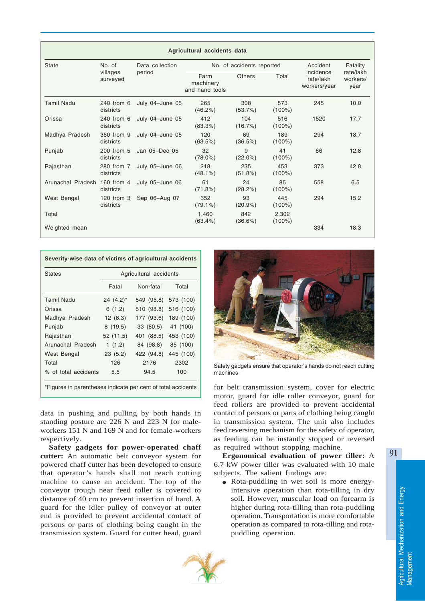| Agricultural accidents data  |                                |                           |                                     |                   |                    |                                        |                               |  |
|------------------------------|--------------------------------|---------------------------|-------------------------------------|-------------------|--------------------|----------------------------------------|-------------------------------|--|
| <b>State</b>                 | No. of<br>villages<br>surveyed | Data collection<br>period | No. of accidents reported           |                   |                    | Accident                               | Fatality                      |  |
|                              |                                |                           | Farm<br>machinery<br>and hand tools | <b>Others</b>     | Total              | incidence<br>rate/lakh<br>workers/year | rate/lakh<br>workers/<br>vear |  |
| <b>Tamil Nadu</b>            | 240 from 6<br>districts        | July 04-June 05           | 265<br>$(46.2\%)$                   | 308<br>$(53.7\%)$ | 573<br>$(100\%)$   | 245                                    | 10.0                          |  |
| Orissa                       | 240 from 6<br>districts        | July 04-June 05           | 412<br>(83.3%)                      | 104<br>$(16.7\%)$ | 516<br>$(100\%)$   | 1520                                   | 17.7                          |  |
| Madhya Pradesh               | 360 from 9<br>districts        | July 04-June 05           | 120<br>(63.5%)                      | 69<br>(36.5%)     | 189<br>$(100\%)$   | 294                                    | 18.7                          |  |
| Punjab                       | 200 from 5<br>districts        | Jan 05-Dec 05             | 32<br>$(78.0\%)$                    | 9<br>$(22.0\%)$   | 41<br>$(100\%)$    | 66                                     | 12.8                          |  |
| Rajasthan                    | 280 from 7<br>districts        | July 05-June 06           | 218<br>$(48.1\%)$                   | 235<br>(51.8%)    | 453<br>$(100\%)$   | 373                                    | 42.8                          |  |
| Arunachal Pradesh 160 from 4 | districts                      | July 05-June 06           | 61<br>(71.8%)                       | 24<br>(28.2%)     | 85<br>$(100\%)$    | 558                                    | 6.5                           |  |
| West Bengal                  | 120 from 3<br>districts        | Sep 06-Aug 07             | 352<br>$(79.1\%)$                   | 93<br>$(20.9\%)$  | 445<br>$(100\%)$   | 294                                    | 15.2                          |  |
| Total                        |                                |                           | 1,460<br>$(63.4\%)$                 | 842<br>$(36.6\%)$ | 2,302<br>$(100\%)$ |                                        |                               |  |
| Weighted mean                |                                |                           |                                     |                   |                    | 334                                    | 18.3                          |  |

| <b>States</b>        | Agricultural accidents |            |           |  |  |
|----------------------|------------------------|------------|-----------|--|--|
|                      | Fatal                  | Non-fatal  | Total     |  |  |
| <b>Tamil Nadu</b>    | $24(4.2)^*$            | 549 (95.8) | 573 (100) |  |  |
| Orissa               | 6(1.2)                 | 510 (98.8) | 516 (100) |  |  |
| Madhya Pradesh       | 12(6.3)                | 177 (93.6) | 189 (100) |  |  |
| Punjab               | 8(19.5)                | 33 (80.5)  | 41 (100)  |  |  |
| Rajasthan            | 52 (11.5)              | 401 (88.5) | 453 (100) |  |  |
| Arunachal Pradesh    | 1(1.2)                 | 84 (98.8)  | 85 (100)  |  |  |
| West Bengal          | 23(5.2)                | 422 (94.8) | 445 (100) |  |  |
| Total                | 126                    | 2176       | 2302      |  |  |
| % of total accidents | 5.5                    | 94.5       | 100       |  |  |

data in pushing and pulling by both hands in standing posture are 226 N and 223 N for maleworkers 151 N and 169 N and for female-workers respectively.

**Safety gadgets for power-operated chaff cutter:** An automatic belt conveyor system for powered chaff cutter has been developed to ensure that operator's hands shall not reach cutting machine to cause an accident. The top of the conveyor trough near feed roller is covered to distance of 40 cm to prevent insertion of hand. A guard for the idler pulley of conveyor at outer end is provided to prevent accidental contact of persons or parts of clothing being caught in the transmission system. Guard for cutter head, guard



Safety gadgets ensure that operator's hands do not reach cutting machines

for belt transmission system, cover for electric motor, guard for idle roller conveyor, guard for feed rollers are provided to prevent accidental contact of persons or parts of clothing being caught in transmission system. The unit also includes feed reversing mechanism for the safety of operator, as feeding can be instantly stopped or reversed as required without stopping machine.

**Ergonomical evaluation of power tiller:** A 6.7 kW power tiller was evaluated with 10 male subjects. The salient findings are:

● Rota-puddling in wet soil is more energyintensive operation than rota-tilling in dry soil. However, muscular load on forearm is higher during rota-tilling than rota-puddling operation. Transportation is more comfortable operation as compared to rota-tilling and rotapuddling operation.

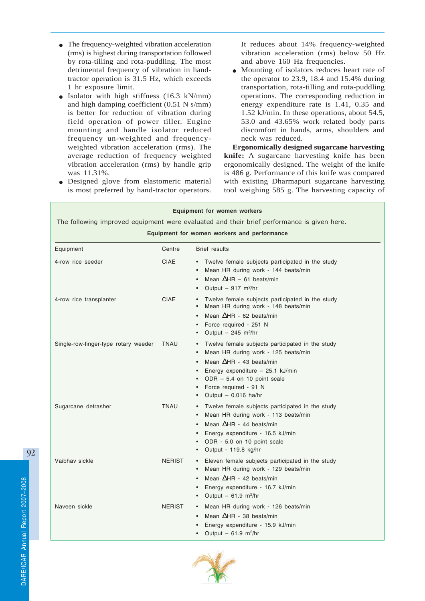- The frequency-weighted vibration acceleration (rms) is highest during transportation followed by rota-tilling and rota-puddling. The most detrimental frequency of vibration in handtractor operation is 31.5 Hz, which exceeds 1 hr exposure limit.
- Isolator with high stiffness (16.3 kN/mm) and high damping coefficient (0.51 N s/mm) is better for reduction of vibration during field operation of power tiller. Engine mounting and handle isolator reduced frequency un-weighted and frequencyweighted vibration acceleration (rms). The average reduction of frequency weighted vibration acceleration (rms) by handle grip was 11.31%.
- Designed glove from elastomeric material is most preferred by hand-tractor operators.

It reduces about 14% frequency-weighted vibration acceleration (rms) below 50 Hz and above 160 Hz frequencies.

Mounting of isolators reduces heart rate of the operator to 23.9, 18.4 and 15.4% during transportation, rota-tilling and rota-puddling operations. The corresponding reduction in energy expenditure rate is 1.41, 0.35 and 1.52 kJ/min. In these operations, about 54.5, 53.0 and 43.65% work related body parts discomfort in hands, arms, shoulders and neck was reduced.

**Ergonomically designed sugarcane harvesting knife:** A sugarcane harvesting knife has been ergonomically designed. The weight of the knife is 486 g. Performance of this knife was compared with existing Dharmapuri sugarcane harvesting tool weighing 585 g. The harvesting capacity of

| <b>Equipment for women workers</b><br>The following improved equipment were evaluated and their brief performance is given here.<br>Equipment for women workers and performance |               |                                                                                                                                                                                                                                                                                                          |  |  |  |  |
|---------------------------------------------------------------------------------------------------------------------------------------------------------------------------------|---------------|----------------------------------------------------------------------------------------------------------------------------------------------------------------------------------------------------------------------------------------------------------------------------------------------------------|--|--|--|--|
| Equipment                                                                                                                                                                       | Centre        | <b>Brief results</b>                                                                                                                                                                                                                                                                                     |  |  |  |  |
| 4-row rice seeder                                                                                                                                                               | <b>CIAE</b>   | Twelve female subjects participated in the study<br>Mean HR during work - 144 beats/min<br>Mean $\Delta$ HR - 61 beats/min<br>Output $-917$ m <sup>2</sup> /hr                                                                                                                                           |  |  |  |  |
| 4-row rice transplanter                                                                                                                                                         | <b>CIAE</b>   | Twelve female subjects participated in the study<br>Mean HR during work - 148 beats/min<br>Mean $\Delta$ HR - 62 beats/min<br>Force required - 251 N<br>Output $-$ 245 m <sup>2</sup> /hr                                                                                                                |  |  |  |  |
| Single-row-finger-type rotary weeder                                                                                                                                            | <b>TNAU</b>   | Twelve female subjects participated in the study<br>Mean HR during work - 125 beats/min<br>$\bullet$<br>Mean $\triangle$ HR - 43 beats/min<br>Energy expenditure $-25.1$ kJ/min<br>$\bullet$<br>$ODR - 5.4$ on 10 point scale<br>$\bullet$<br>Force required - 91 N<br>$\bullet$<br>Output - 0.016 ha/hr |  |  |  |  |
| Sugarcane detrasher                                                                                                                                                             | <b>TNAU</b>   | • Twelve female subjects participated in the study<br>Mean HR during work - 113 beats/min<br>Mean $\triangle$ HR - 44 beats/min<br>Energy expenditure - 16.5 kJ/min<br>$\bullet$<br>ODR - 5.0 on 10 point scale<br>$\bullet$<br>Output - 119.8 kg/hr                                                     |  |  |  |  |
| Vaibhay sickle                                                                                                                                                                  | <b>NERIST</b> | Eleven female subjects participated in the study<br>Mean HR during work - 129 beats/min<br>$\bullet$<br>Mean $\triangle$ HR - 42 beats/min<br>$\bullet$<br>Energy expenditure - 16.7 kJ/min<br>$\bullet$<br>Output $-61.9$ m <sup>2</sup> /hr<br>$\bullet$                                               |  |  |  |  |
| Naveen sickle                                                                                                                                                                   | <b>NERIST</b> | • Mean HR during work - 126 beats/min<br>Mean $\Delta$ HR - 38 beats/min<br>Energy expenditure - 15.9 kJ/min<br>Output $-61.9$ m <sup>2</sup> /hr<br>$\bullet$                                                                                                                                           |  |  |  |  |

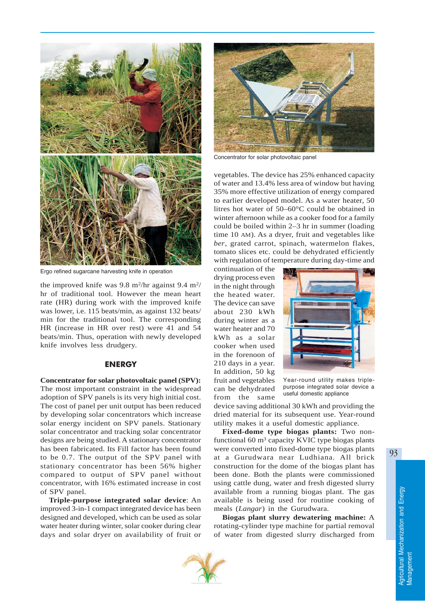

Ergo refined sugarcane harvesting knife in operation

the improved knife was 9.8 m<sup>2</sup>/hr against 9.4 m<sup>2</sup>/ hr of traditional tool. However the mean heart rate (HR) during work with the improved knife was lower, i.e. 115 beats/min, as against 132 beats/ min for the traditional tool. The corresponding HR (increase in HR over rest) were 41 and 54 beats/min. Thus, operation with newly developed knife involves less drudgery.

## **ENERGY**

**Concentrator for solar photovoltaic panel (SPV):** The most important constraint in the widespread adoption of SPV panels is its very high initial cost. The cost of panel per unit output has been reduced by developing solar concentrators which increase solar energy incident on SPV panels. Stationary solar concentrator and tracking solar concentrator designs are being studied. A stationary concentrator has been fabricated. Its Fill factor has been found to be 0.7. The output of the SPV panel with stationary concentrator has been 56% higher compared to output of SPV panel without concentrator, with 16% estimated increase in cost of SPV panel.

**Triple-purpose integrated solar device**: An improved 3-in-1 compact integrated device has been designed and developed, which can be used as solar water heater during winter, solar cooker during clear days and solar dryer on availability of fruit or



Concentrator for solar photovoltaic panel

vegetables. The device has 25% enhanced capacity of water and 13.4% less area of window but having 35% more effective utilization of energy compared to earlier developed model. As a water heater, 50 litres hot water of 50–60°C could be obtained in winter afternoon while as a cooker food for a family could be boiled within 2–3 hr in summer (loading time 10 AM). As a dryer, fruit and vegetables like *ber*, grated carrot, spinach, watermelon flakes, tomato slices etc. could be dehydrated efficiently with regulation of temperature during day-time and

continuation of the drying process even in the night through the heated water. The device can save about 230 kWh during winter as a water heater and 70 kWh as a solar cooker when used in the forenoon of 210 days in a year. In addition, 50 kg fruit and vegetables can be dehydrated from the same



Year-round utility makes triplepurpose integrated solar device a useful domestic appliance

device saving additional 30 kWh and providing the dried material for its subsequent use. Year-round utility makes it a useful domestic appliance.

**Fixed-dome type biogas plants:** Two nonfunctional  $60 \text{ m}^3$  capacity KVIC type biogas plants were converted into fixed-dome type biogas plants at a Gurudwara near Ludhiana. All brick construction for the dome of the biogas plant has been done. Both the plants were commissioned using cattle dung, water and fresh digested slurry available from a running biogas plant. The gas available is being used for routine cooking of meals (*Langar*) in the Gurudwara.

**Biogas plant slurry dewatering machine:** A rotating-cylinder type machine for partial removal of water from digested slurry discharged from

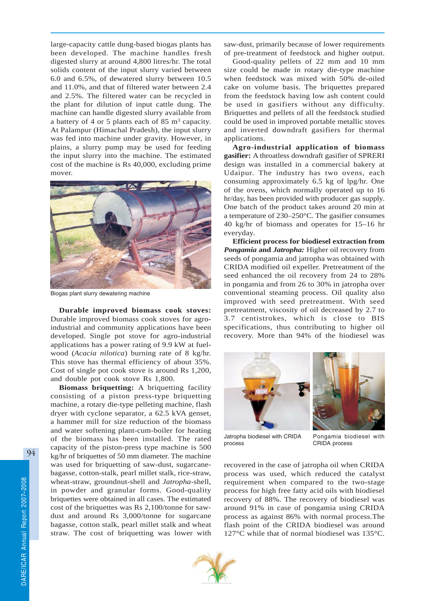large-capacity cattle dung-based biogas plants has been developed. The machine handles fresh digested slurry at around 4,800 litres/hr. The total solids content of the input slurry varied between 6.0 and 6.5%, of dewatered slurry between 10.5 and 11.0%, and that of filtered water between 2.4 and 2.5%. The filtered water can be recycled in the plant for dilution of input cattle dung. The machine can handle digested slurry available from a battery of 4 or 5 plants each of 85  $\mathrm{m}^3$  capacity. At Palampur (Himachal Pradesh), the input slurry was fed into machine under gravity. However, in plains, a slurry pump may be used for feeding the input slurry into the machine. The estimated cost of the machine is Rs 40,000, excluding prime mover.



Biogas plant slurry dewatering machine

**Durable improved biomass cook stoves:** Durable improved biomass cook stoves for agroindustrial and community applications have been developed. Single pot stove for agro-industrial applications has a power rating of 9.9 kW at fuelwood (*Acacia nilotica*) burning rate of 8 kg/hr. This stove has thermal efficiency of about 35%. Cost of single pot cook stove is around Rs 1,200, and double pot cook stove Rs 1,800.

**Biomass briquetting:** A briquetting facility consisting of a piston press-type briquetting machine, a rotary die-type pelleting machine, flash dryer with cyclone separator, a 62.5 kVA genset, a hammer mill for size reduction of the biomass and water softening plant-cum-boiler for heating of the biomass has been installed. The rated capacity of the piston-press type machine is 500 kg/hr of briquettes of 50 mm diameter. The machine was used for briquetting of saw-dust, sugarcanebagasse, cotton-stalk, pearl millet stalk, rice-straw, wheat-straw, groundnut-shell and *Jatropha*-shell, in powder and granular forms. Good-quality briquettes were obtained in all cases. The estimated cost of the briquettes was Rs 2,100/tonne for sawdust and around Rs 3,000/tonne for sugarcane bagasse, cotton stalk, pearl millet stalk and wheat straw. The cost of briquetting was lower with

saw-dust, primarily because of lower requirements of pre-treatment of feedstock and higher output.

Good-quality pellets of 22 mm and 10 mm size could be made in rotary die-type machine when feedstock was mixed with 50% de-oiled cake on volume basis. The briquettes prepared from the feedstock having low ash content could be used in gasifiers without any difficulty. Briquettes and pellets of all the feedstock studied could be used in improved portable metallic stoves and inverted downdraft gasifiers for thermal applications.

**Agro-industrial application of biomass gasifier:** A throatless downdraft gasifier of SPRERI design was installed in a commercial bakery at Udaipur. The industry has two ovens, each consuming approximately 6.5 kg of lpg/hr. One of the ovens, which normally operated up to 16 hr/day, has been provided with producer gas supply. One batch of the product takes around 20 min at a temperature of 230–250°C. The gasifier consumes 40 kg/hr of biomass and operates for 15–16 hr everyday.

**Efficient process for biodiesel extraction from** *Pongamia* **and** *Jatropha:* Higher oil recovery from seeds of pongamia and jatropha was obtained with CRIDA modified oil expeller. Pretreatment of the seed enhanced the oil recovery from 24 to 28% in pongamia and from 26 to 30% in jatropha over conventional steaming process. Oil quality also improved with seed pretreatment. With seed pretreatment, viscosity of oil decreased by 2.7 to 3.7 centistrokes, which is close to BIS specifications, thus contributing to higher oil recovery. More than 94% of the biodiesel was





Jatropha biodiesel with CRIDA process

Pongamia biodiesel with CRIDA process

recovered in the case of jatropha oil when CRIDA process was used, which reduced the catalyst requirement when compared to the two-stage process for high free fatty acid oils with biodiesel recovery of 88%. The recovery of biodiesel was around 91% in case of pongamia using CRIDA process as against 86% with normal process.The flash point of the CRIDA biodiesel was around 127°C while that of normal biodiesel was 135°C.